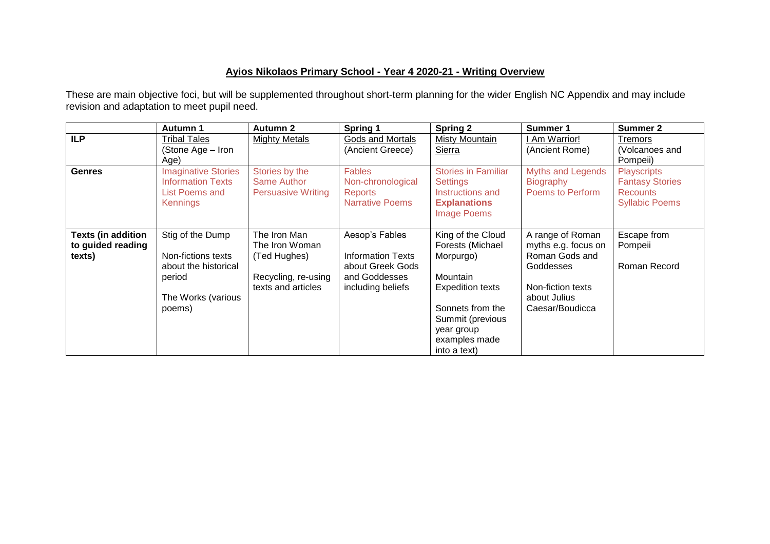## **Ayios Nikolaos Primary School - Year 4 2020-21 - Writing Overview**

These are main objective foci, but will be supplemented throughout short-term planning for the wider English NC Appendix and may include revision and adaptation to meet pupil need.

|                                                          | Autumn 1                                                                                                 | <b>Autumn 2</b>                                                                             | Spring 1                                                                                             | <b>Spring 2</b>                                                                                                                                                                  | Summer 1                                                                                                                       | <b>Summer 2</b>                                                                          |
|----------------------------------------------------------|----------------------------------------------------------------------------------------------------------|---------------------------------------------------------------------------------------------|------------------------------------------------------------------------------------------------------|----------------------------------------------------------------------------------------------------------------------------------------------------------------------------------|--------------------------------------------------------------------------------------------------------------------------------|------------------------------------------------------------------------------------------|
| <b>ILP</b>                                               | <b>Tribal Tales</b><br>(Stone Age - Iron<br>Age)                                                         | <b>Mighty Metals</b>                                                                        | Gods and Mortals<br>(Ancient Greece)                                                                 | Misty Mountain<br>Sierra                                                                                                                                                         | Am Warrior!<br>(Ancient Rome)                                                                                                  | <b>Tremors</b><br>(Volcanoes and<br>Pompeii)                                             |
| <b>Genres</b>                                            | <b>Imaginative Stories</b><br><b>Information Texts</b><br>List Poems and<br><b>Kennings</b>              | Stories by the<br><b>Same Author</b><br><b>Persuasive Writing</b>                           | <b>Fables</b><br>Non-chronological<br><b>Reports</b><br><b>Narrative Poems</b>                       | <b>Stories in Familiar</b><br><b>Settings</b><br>Instructions and<br><b>Explanations</b><br><b>Image Poems</b>                                                                   | <b>Myths and Legends</b><br>Biography<br>Poems to Perform                                                                      | <b>Playscripts</b><br><b>Fantasy Stories</b><br><b>Recounts</b><br><b>Syllabic Poems</b> |
| <b>Texts (in addition</b><br>to guided reading<br>texts) | Stig of the Dump<br>Non-fictions texts<br>about the historical<br>period<br>The Works (various<br>poems) | The Iron Man<br>The Iron Woman<br>(Ted Hughes)<br>Recycling, re-using<br>texts and articles | Aesop's Fables<br><b>Information Texts</b><br>about Greek Gods<br>and Goddesses<br>including beliefs | King of the Cloud<br>Forests (Michael<br>Morpurgo)<br>Mountain<br><b>Expedition texts</b><br>Sonnets from the<br>Summit (previous<br>year group<br>examples made<br>into a text) | A range of Roman<br>myths e.g. focus on<br>Roman Gods and<br>Goddesses<br>Non-fiction texts<br>about Julius<br>Caesar/Boudicca | Escape from<br>Pompeii<br>Roman Record                                                   |